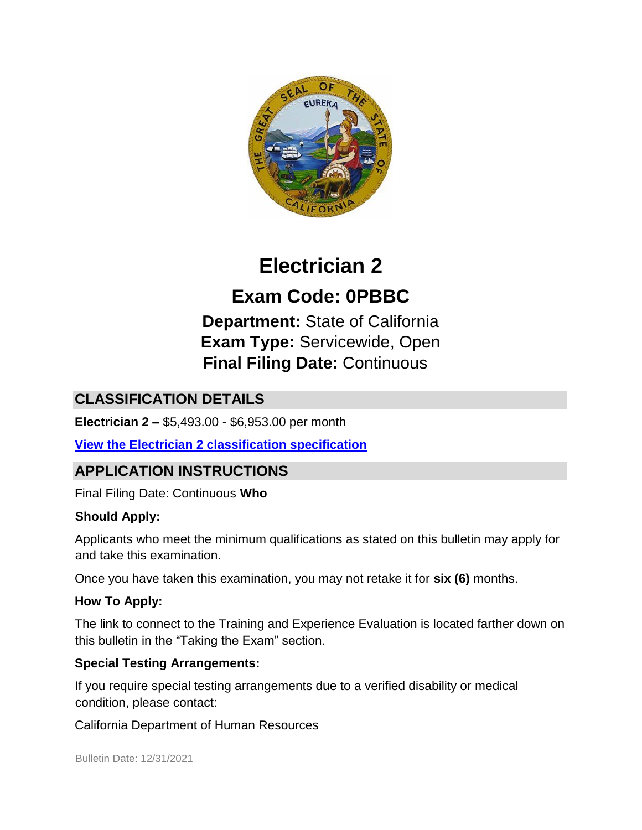

# **Electrician 2**

**Exam Code: 0PBBC Department:** State of California **Exam Type:** Servicewide, Open **Final Filing Date:** Continuous

# **CLASSIFICATION DETAILS**

**Electrician 2 –** \$5,493.00 - \$6,953.00 per month

#### **[View the Electrician 2 classification specification](http://calhr.ca.gov/state-hr-professionals/pages/6533.aspx)**

# **APPLICATION INSTRUCTIONS**

Final Filing Date: Continuous **Who** 

#### **Should Apply:**

Applicants who meet the minimum qualifications as stated on this bulletin may apply for and take this examination.

Once you have taken this examination, you may not retake it for **six (6)** months.

#### **How To Apply:**

The link to connect to the Training and Experience Evaluation is located farther down on this bulletin in the "Taking the Exam" section.

#### **Special Testing Arrangements:**

If you require special testing arrangements due to a verified disability or medical condition, please contact:

California Department of Human Resources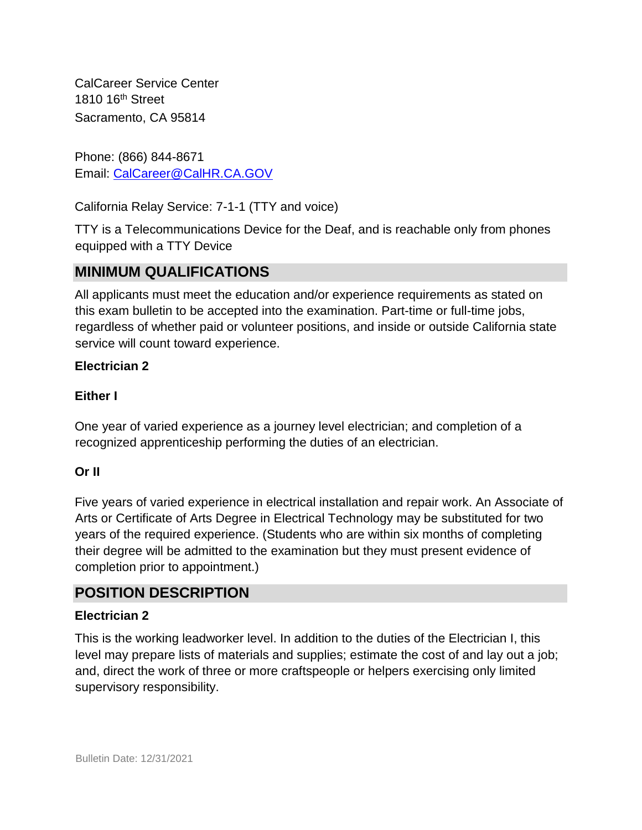CalCareer Service Center 1810 16<sup>th</sup> Street Sacramento, CA 95814

Phone: (866) 844-8671 Email: CalCareer@CalHR.CA.GOV

California Relay Service: 7-1-1 (TTY and voice)

TTY is a Telecommunications Device for the Deaf, and is reachable only from phones equipped with a TTY Device

# **MINIMUM QUALIFICATIONS**

All applicants must meet the education and/or experience requirements as stated on this exam bulletin to be accepted into the examination. Part-time or full-time jobs, regardless of whether paid or volunteer positions, and inside or outside California state service will count toward experience.

#### **Electrician 2**

#### **Either I**

One year of varied experience as a journey level electrician; and completion of a recognized apprenticeship performing the duties of an electrician.

#### **Or II**

Five years of varied experience in electrical installation and repair work. An Associate of Arts or Certificate of Arts Degree in Electrical Technology may be substituted for two years of the required experience. (Students who are within six months of completing their degree will be admitted to the examination but they must present evidence of completion prior to appointment.)

### **POSITION DESCRIPTION**

#### **Electrician 2**

This is the working leadworker level. In addition to the duties of the Electrician I, this level may prepare lists of materials and supplies; estimate the cost of and lay out a job; and, direct the work of three or more craftspeople or helpers exercising only limited supervisory responsibility.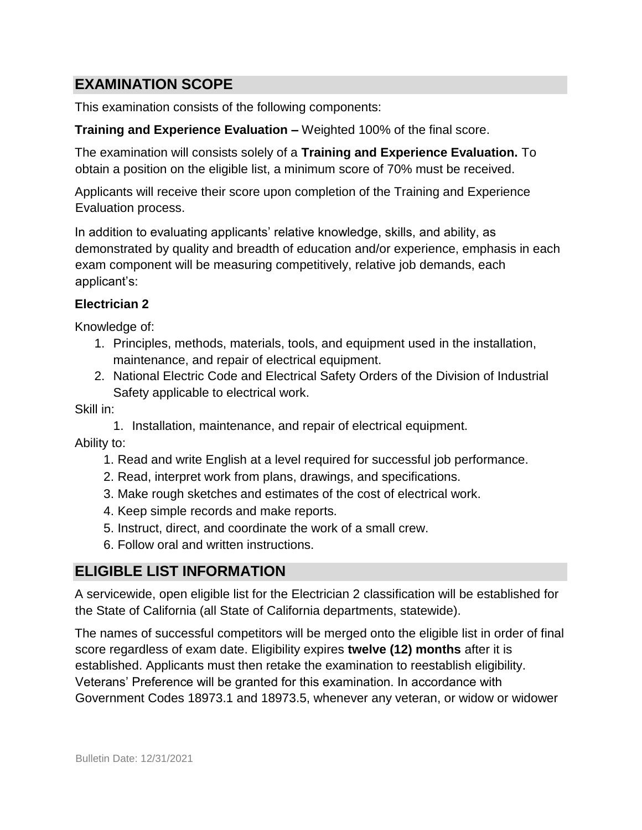## **EXAMINATION SCOPE**

This examination consists of the following components:

#### **Training and Experience Evaluation –** Weighted 100% of the final score.

The examination will consists solely of a **Training and Experience Evaluation.** To obtain a position on the eligible list, a minimum score of 70% must be received.

Applicants will receive their score upon completion of the Training and Experience Evaluation process.

In addition to evaluating applicants' relative knowledge, skills, and ability, as demonstrated by quality and breadth of education and/or experience, emphasis in each exam component will be measuring competitively, relative job demands, each applicant's:

#### **Electrician 2**

Knowledge of:

- 1. Principles, methods, materials, tools, and equipment used in the installation, maintenance, and repair of electrical equipment.
- 2. National Electric Code and Electrical Safety Orders of the Division of Industrial Safety applicable to electrical work.

Skill in:

1. Installation, maintenance, and repair of electrical equipment.

Ability to:

- 1. Read and write English at a level required for successful job performance.
- 2. Read, interpret work from plans, drawings, and specifications.
- 3. Make rough sketches and estimates of the cost of electrical work.
- 4. Keep simple records and make reports.
- 5. Instruct, direct, and coordinate the work of a small crew.
- 6. Follow oral and written instructions.

### **ELIGIBLE LIST INFORMATION**

A servicewide, open eligible list for the Electrician 2 classification will be established for the State of California (all State of California departments, statewide).

The names of successful competitors will be merged onto the eligible list in order of final score regardless of exam date. Eligibility expires **twelve (12) months** after it is established. Applicants must then retake the examination to reestablish eligibility. Veterans' Preference will be granted for this examination. In accordance with Government Codes 18973.1 and 18973.5, whenever any veteran, or widow or widower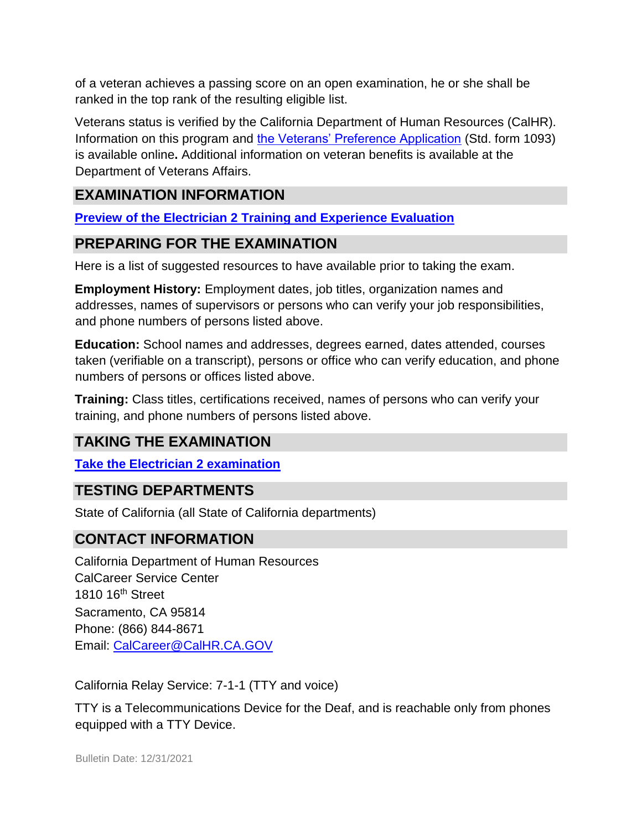of a veteran achieves a passing score on an open examination, he or she shall be ranked in the top rank of the resulting eligible list.

Veterans status is verified by the California Department of Human Resources (CalHR). Information on this program and [the Veterans' Preference Application](https://www.jobs.ca.gov/CalHRPublic/Landing/Jobs/VeteransInformation.aspx) [\(](https://www.jobs.ca.gov/CalHRPublic/Landing/Jobs/VeteransInformation.aspx)Std. form 1093) is available online**.** Additional information on veteran benefits is available at the Department of Veterans Affairs.

## **EXAMINATION INFORMATION**

**[Preview of the Electrician 2](https://jobs.ca.gov/JOBSGEN/0PBBCC.PDF) [Training and Experience Evaluation](https://jobs.ca.gov/JOBSGEN/0PBBCC.PDF)** 

## **PREPARING FOR THE EXAMINATION**

Here is a list of suggested resources to have available prior to taking the exam.

**Employment History:** Employment dates, job titles, organization names and addresses, names of supervisors or persons who can verify your job responsibilities, and phone numbers of persons listed above.

**Education:** School names and addresses, degrees earned, dates attended, courses taken (verifiable on a transcript), persons or office who can verify education, and phone numbers of persons or offices listed above.

**Training:** Class titles, certifications received, names of persons who can verify your training, and phone numbers of persons listed above.

# **TAKING THE EXAMINATION**

**[Take the Electrician 2](https://www.jobs.ca.gov/CalHRPublic/Login.aspx?ExamId=0PBBC) [examination](https://www.jobs.ca.gov/CalHRPublic/Login.aspx?ExamId=0PBBC)**

### **TESTING DEPARTMENTS**

State of California (all State of California departments)

#### **CONTACT INFORMATION**

California Department of Human Resources CalCareer Service Center 1810 16<sup>th</sup> Street Sacramento, CA 95814 Phone: (866) 844-8671 Email: CalCareer@CalHR.CA.GOV

California Relay Service: 7-1-1 (TTY and voice)

TTY is a Telecommunications Device for the Deaf, and is reachable only from phones equipped with a TTY Device.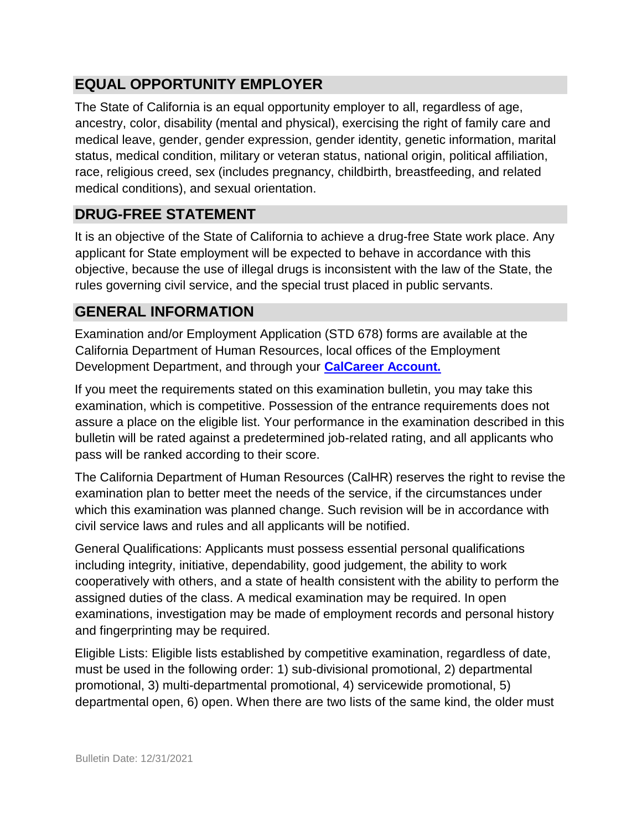# **EQUAL OPPORTUNITY EMPLOYER**

The State of California is an equal opportunity employer to all, regardless of age, ancestry, color, disability (mental and physical), exercising the right of family care and medical leave, gender, gender expression, gender identity, genetic information, marital status, medical condition, military or veteran status, national origin, political affiliation, race, religious creed, sex (includes pregnancy, childbirth, breastfeeding, and related medical conditions), and sexual orientation.

## **DRUG-FREE STATEMENT**

It is an objective of the State of California to achieve a drug-free State work place. Any applicant for State employment will be expected to behave in accordance with this objective, because the use of illegal drugs is inconsistent with the law of the State, the rules governing civil service, and the special trust placed in public servants.

# **GENERAL INFORMATION**

Examination and/or Employment Application (STD 678) forms are available at the California Department of Human Resources, local offices of the Employment Development Department, and through your **[CalCareer Account.](http://www.jobs.ca.gov/)**

If you meet the requirements stated on this examination bulletin, you may take this examination, which is competitive. Possession of the entrance requirements does not assure a place on the eligible list. Your performance in the examination described in this bulletin will be rated against a predetermined job-related rating, and all applicants who pass will be ranked according to their score.

The California Department of Human Resources (CalHR) reserves the right to revise the examination plan to better meet the needs of the service, if the circumstances under which this examination was planned change. Such revision will be in accordance with civil service laws and rules and all applicants will be notified.

General Qualifications: Applicants must possess essential personal qualifications including integrity, initiative, dependability, good judgement, the ability to work cooperatively with others, and a state of health consistent with the ability to perform the assigned duties of the class. A medical examination may be required. In open examinations, investigation may be made of employment records and personal history and fingerprinting may be required.

Eligible Lists: Eligible lists established by competitive examination, regardless of date, must be used in the following order: 1) sub-divisional promotional, 2) departmental promotional, 3) multi-departmental promotional, 4) servicewide promotional, 5) departmental open, 6) open. When there are two lists of the same kind, the older must